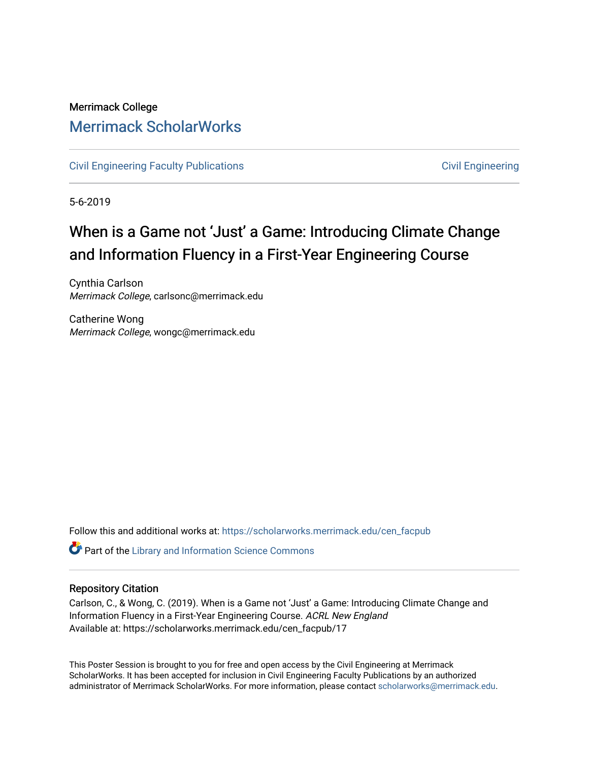### Merrimack College [Merrimack ScholarWorks](https://scholarworks.merrimack.edu/)

[Civil Engineering Faculty Publications](https://scholarworks.merrimack.edu/cen_facpub) **Civil Engineering** Civil Engineering

5-6-2019

### When is a Game not 'Just' a Game: Introducing Climate Change and Information Fluency in a First-Year Engineering Course

Cynthia Carlson Merrimack College, carlsonc@merrimack.edu

Catherine Wong Merrimack College, wongc@merrimack.edu

Follow this and additional works at: [https://scholarworks.merrimack.edu/cen\\_facpub](https://scholarworks.merrimack.edu/cen_facpub?utm_source=scholarworks.merrimack.edu%2Fcen_facpub%2F17&utm_medium=PDF&utm_campaign=PDFCoverPages) 

**C** Part of the Library and Information Science Commons

### Repository Citation

Carlson, C., & Wong, C. (2019). When is a Game not 'Just' a Game: Introducing Climate Change and Information Fluency in a First-Year Engineering Course. ACRL New England Available at: https://scholarworks.merrimack.edu/cen\_facpub/17

This Poster Session is brought to you for free and open access by the Civil Engineering at Merrimack ScholarWorks. It has been accepted for inclusion in Civil Engineering Faculty Publications by an authorized administrator of Merrimack ScholarWorks. For more information, please contact [scholarworks@merrimack.edu](mailto:scholarworks@merrimack.edu).